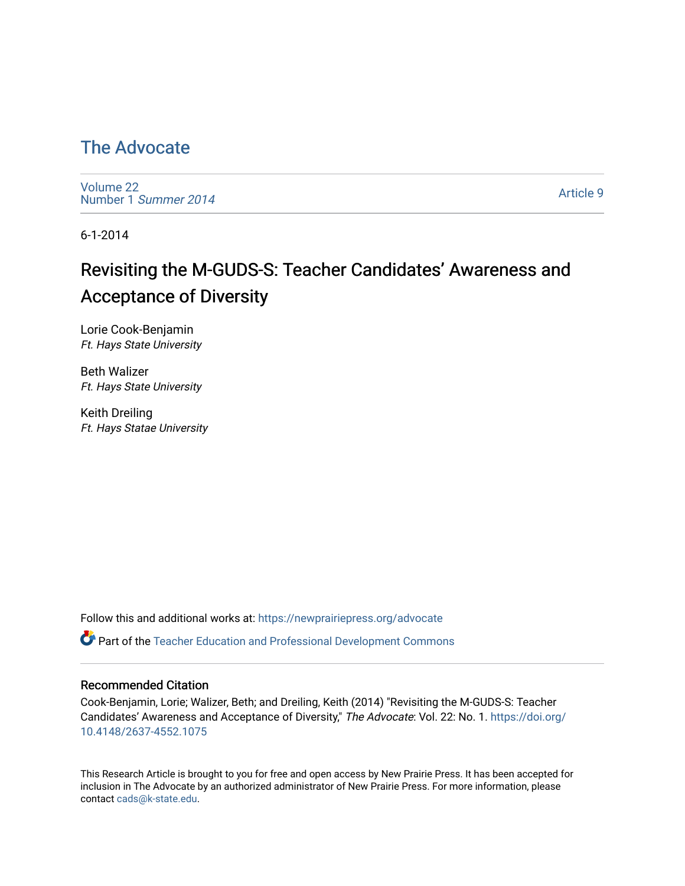#### [The Advocate](https://newprairiepress.org/advocate)

[Volume 22](https://newprairiepress.org/advocate/vol22) [Number 1](https://newprairiepress.org/advocate/vol22/iss1) Summer 2014

[Article 9](https://newprairiepress.org/advocate/vol22/iss1/9) 

6-1-2014

# Revisiting the M-GUDS-S: Teacher Candidates' Awareness and Acceptance of Diversity

Lorie Cook-Benjamin Ft. Hays State University

Beth Walizer Ft. Hays State University

Keith Dreiling Ft. Hays Statae University

Follow this and additional works at: [https://newprairiepress.org/advocate](https://newprairiepress.org/advocate?utm_source=newprairiepress.org%2Fadvocate%2Fvol22%2Fiss1%2F9&utm_medium=PDF&utm_campaign=PDFCoverPages) 

Part of the [Teacher Education and Professional Development Commons](http://network.bepress.com/hgg/discipline/803?utm_source=newprairiepress.org%2Fadvocate%2Fvol22%2Fiss1%2F9&utm_medium=PDF&utm_campaign=PDFCoverPages) 

#### Recommended Citation

Cook-Benjamin, Lorie; Walizer, Beth; and Dreiling, Keith (2014) "Revisiting the M-GUDS-S: Teacher Candidates' Awareness and Acceptance of Diversity," The Advocate: Vol. 22: No. 1. [https://doi.org/](https://doi.org/10.4148/2637-4552.1075) [10.4148/2637-4552.1075](https://doi.org/10.4148/2637-4552.1075)

This Research Article is brought to you for free and open access by New Prairie Press. It has been accepted for inclusion in The Advocate by an authorized administrator of New Prairie Press. For more information, please contact [cads@k-state.edu](mailto:cads@k-state.edu).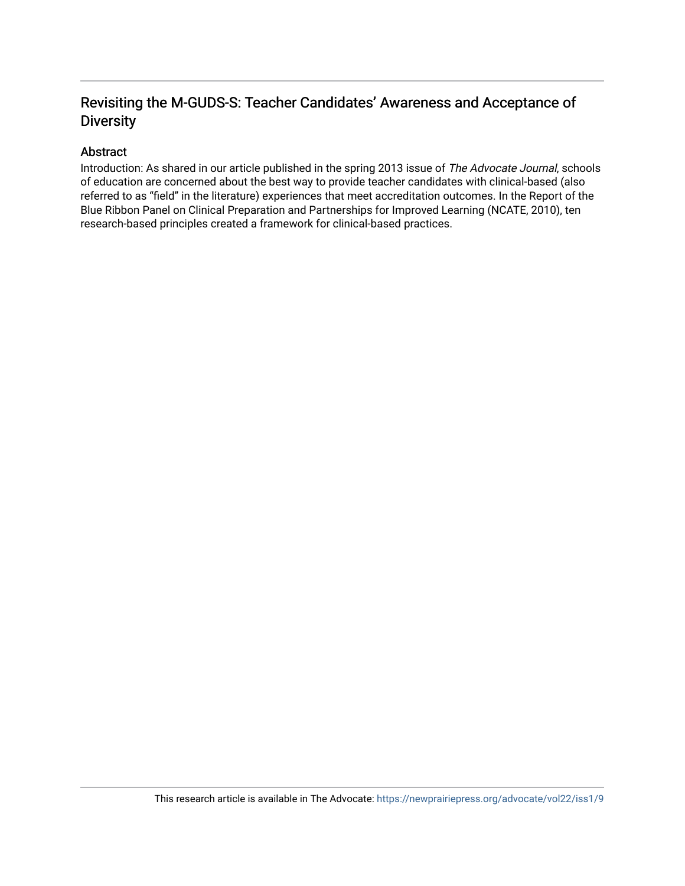#### Revisiting the M-GUDS-S: Teacher Candidates' Awareness and Acceptance of **Diversity**

#### Abstract

Introduction: As shared in our article published in the spring 2013 issue of The Advocate Journal, schools of education are concerned about the best way to provide teacher candidates with clinical-based (also referred to as "field" in the literature) experiences that meet accreditation outcomes. In the Report of the Blue Ribbon Panel on Clinical Preparation and Partnerships for Improved Learning (NCATE, 2010), ten research-based principles created a framework for clinical-based practices.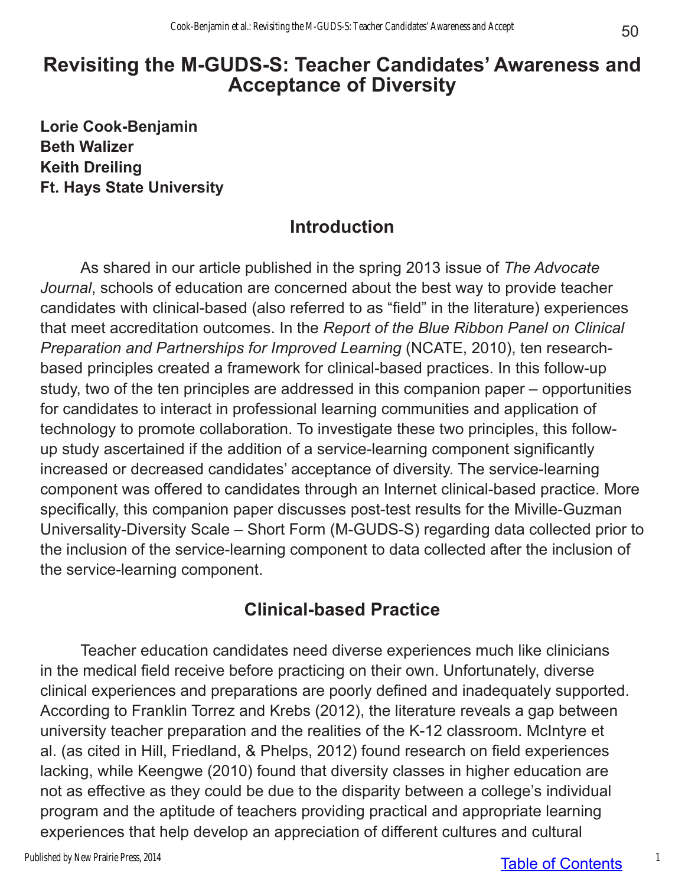# **Revisiting the M-GUDS-S: Teacher Candidates' Awareness and Acceptance of Diversity**

**Lorie Cook-Benjamin Beth Walizer Keith Dreiling Ft. Hays State University**

## **Introduction**

As shared in our article published in the spring 2013 issue of *The Advocate Journal*, schools of education are concerned about the best way to provide teacher candidates with clinical-based (also referred to as "field" in the literature) experiences that meet accreditation outcomes. In the *Report of the Blue Ribbon Panel on Clinical Preparation and Partnerships for Improved Learning (NCATE, 2010), ten research*based principles created a framework for clinical-based practices. In this follow-up study, two of the ten principles are addressed in this companion paper – opportunities for candidates to interact in professional learning communities and application of technology to promote collaboration. To investigate these two principles, this followup study ascertained if the addition of a service-learning component significantly increased or decreased candidates' acceptance of diversity. The service-learning component was offered to candidates through an Internet clinical-based practice. More specifically, this companion paper discusses post-test results for the Miville-Guzman Universality-Diversity Scale – Short Form (M-GUDS-S) regarding data collected prior to the inclusion of the service-learning component to data collected after the inclusion of the service-learning component.

## **Clinical-based Practice**

Teacher education candidates need diverse experiences much like clinicians in the medical field receive before practicing on their own. Unfortunately, diverse clinical experiences and preparations are poorly defined and inadequately supported. According to Franklin Torrez and Krebs (2012), the literature reveals a gap between university teacher preparation and the realities of the K-12 classroom. McIntyre et al. (as cited in Hill, Friedland, & Phelps, 2012) found research on field experiences lacking, while Keengwe (2010) found that diversity classes in higher education are not as effective as they could be due to the disparity between a college's individual program and the aptitude of teachers providing practical and appropriate learning experiences that help develop an appreciation of different cultures and cultural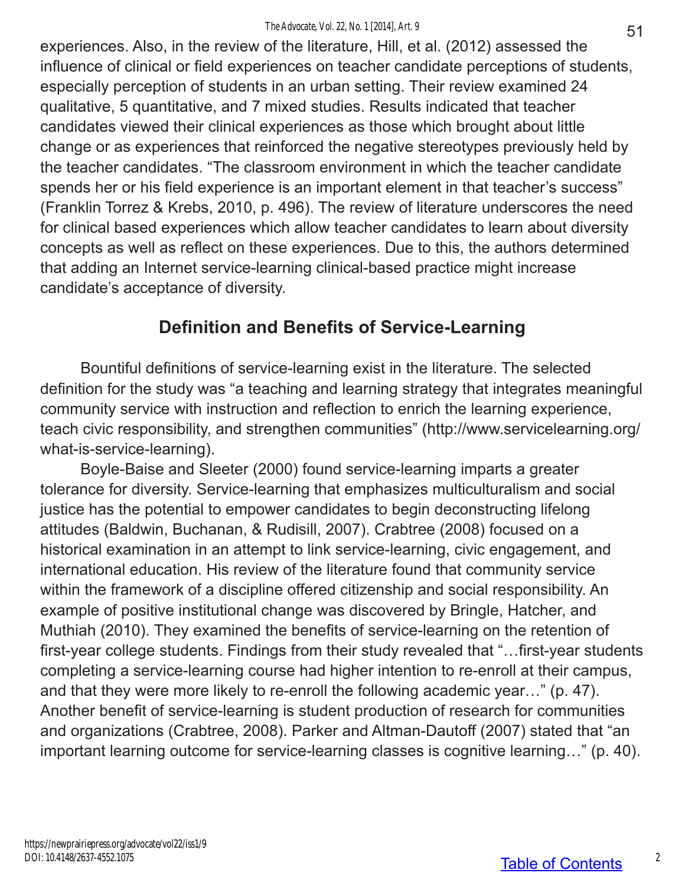experiences. Also, in the review of the literature, Hill, et al. (2012) assessed the influence of clinical or field experiences on teacher candidate perceptions of students, especially perception of students in an urban setting. Their review examined 24 qualitative, 5 quantitative, and 7 mixed studies. Results indicated that teacher candidates viewed their clinical experiences as those which brought about little change or as experiences that reinforced the negative stereotypes previously held by the teacher candidates. "The classroom environment in which the teacher candidate spends her or his field experience is an important element in that teacher's success" (Franklin Torrez & Krebs, 2010, p. 496). The review of literature underscores the need for clinical based experiences which allow teacher candidates to learn about diversity concepts as well as reflect on these experiences. Due to this, the authors determined that adding an Internet service-learning clinical-based practice might increase candidate's acceptance of diversity.

## **Definition and Benefits of Service-Learning**

Bountiful definitions of service-learning exist in the literature. The selected definition for the study was "a teaching and learning strategy that integrates meaningful community service with instruction and reflection to enrich the learning experience, teach civic responsibility, and strengthen communities" (http://www.servicelearning.org/ what-is-service-learning).

Boyle-Baise and Sleeter (2000) found service-learning imparts a greater tolerance for diversity. Service-learning that emphasizes multiculturalism and social justice has the potential to empower candidates to begin deconstructing lifelong attitudes (Baldwin, Buchanan, & Rudisill, 2007). Crabtree (2008) focused on a historical examination in an attempt to link service-learning, civic engagement, and international education. His review of the literature found that community service within the framework of a discipline offered citizenship and social responsibility. An example of positive institutional change was discovered by Bringle, Hatcher, and Muthiah (2010). They examined the benefits of service-learning on the retention of first-year college students. Findings from their study revealed that "…first-year students completing a service-learning course had higher intention to re-enroll at their campus, and that they were more likely to re-enroll the following academic year…" (p. 47). Another benefit of service-learning is student production of research for communities and organizations (Crabtree, 2008). Parker and Altman-Dautoff (2007) stated that "an important learning outcome for service-learning classes is cognitive learning…" (p. 40).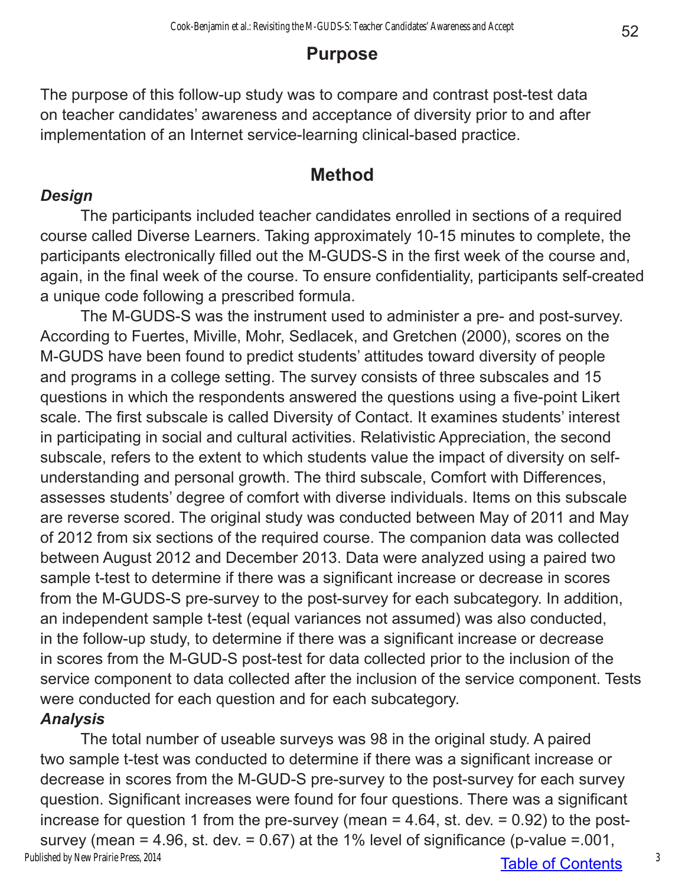### **Purpose**

The purpose of this follow-up study was to compare and contrast post-test data on teacher candidates' awareness and acceptance of diversity prior to and after implementation of an Internet service-learning clinical-based practice.

#### **Method**

#### *Design*

The participants included teacher candidates enrolled in sections of a required course called Diverse Learners. Taking approximately 10-15 minutes to complete, the participants electronically filled out the M-GUDS-S in the first week of the course and, again, in the final week of the course. To ensure confidentiality, participants self-created a unique code following a prescribed formula.

The M-GUDS-S was the instrument used to administer a pre- and post-survey. According to Fuertes, Miville, Mohr, Sedlacek, and Gretchen (2000), scores on the M-GUDS have been found to predict students' attitudes toward diversity of people and programs in a college setting. The survey consists of three subscales and 15 questions in which the respondents answered the questions using a five-point Likert scale. The first subscale is called Diversity of Contact. It examines students' interest in participating in social and cultural activities. Relativistic Appreciation, the second subscale, refers to the extent to which students value the impact of diversity on selfunderstanding and personal growth. The third subscale, Comfort with Differences, assesses students' degree of comfort with diverse individuals. Items on this subscale are reverse scored. The original study was conducted between May of 2011 and May of 2012 from six sections of the required course. The companion data was collected between August 2012 and December 2013. Data were analyzed using a paired two sample t-test to determine if there was a significant increase or decrease in scores from the M-GUDS-S pre-survey to the post-survey for each subcategory. In addition, an independent sample t-test (equal variances not assumed) was also conducted, in the follow-up study, to determine if there was a significant increase or decrease in scores from the M-GUD-S post-test for data collected prior to the inclusion of the service component to data collected after the inclusion of the service component. Tests were conducted for each question and for each subcategory.

*Analysis*

The total number of useable surveys was 98 in the original study. A paired two sample t-test was conducted to determine if there was a significant increase or decrease in scores from the M-GUD-S pre-survey to the post-survey for each survey question. Significant increases were found for four questions. There was a significant increase for question 1 from the pre-survey (mean  $=$  4.64, st. dev.  $=$  0.92) to the postsurvey (mean = 4.96, st. dev. =  $0.67$ ) at the 1% level of significance (p-value =  $.001$ , Published by New Prairie Press, 2014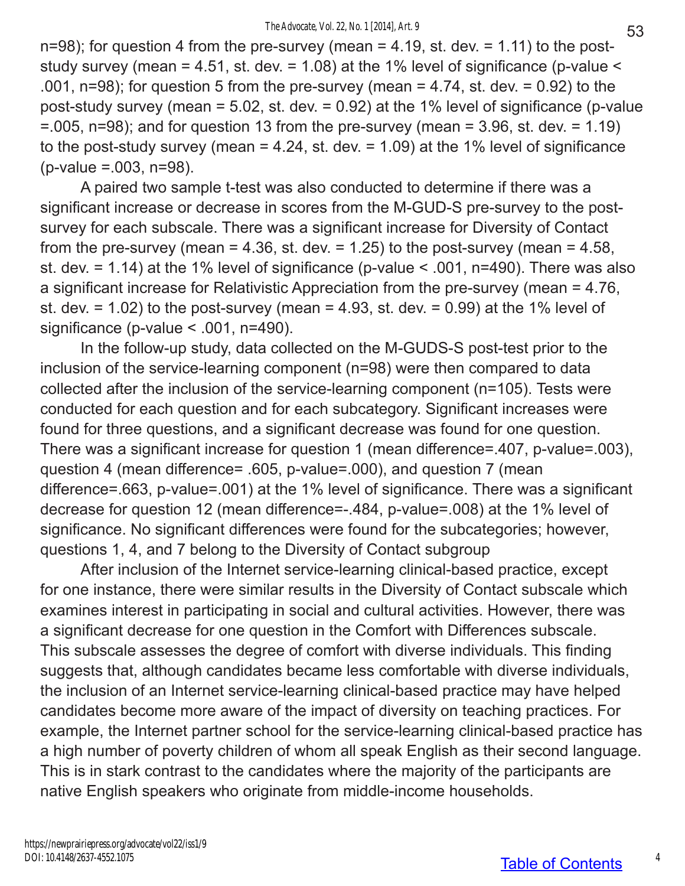$n=98$ ); for question 4 from the pre-survey (mean = 4.19, st. dev. = 1.11) to the poststudy survey (mean = 4.51, st. dev. = 1.08) at the 1% level of significance (p-value  $\le$ .001,  $n=98$ ; for question 5 from the pre-survey (mean = 4.74, st. dev. = 0.92) to the post-study survey (mean = 5.02, st. dev. = 0.92) at the 1% level of significance (p-value  $=$  005, n=98); and for question 13 from the pre-survey (mean  $=$  3.96, st. dev.  $=$  1.19) to the post-study survey (mean  $= 4.24$ , st. dev.  $= 1.09$ ) at the 1% level of significance (p-value =.003, n=98).

A paired two sample t-test was also conducted to determine if there was a significant increase or decrease in scores from the M-GUD-S pre-survey to the postsurvey for each subscale. There was a significant increase for Diversity of Contact from the pre-survey (mean = 4.36, st. dev. = 1.25) to the post-survey (mean = 4.58, st. dev. = 1.14) at the 1% level of significance (p-value < .001, n=490). There was also a significant increase for Relativistic Appreciation from the pre-survey (mean = 4.76, st. dev.  $= 1.02$ ) to the post-survey (mean  $= 4.93$ , st. dev.  $= 0.99$ ) at the 1% level of significance (p-value < .001, n=490).

In the follow-up study, data collected on the M-GUDS-S post-test prior to the inclusion of the service-learning component (n=98) were then compared to data collected after the inclusion of the service-learning component (n=105). Tests were conducted for each question and for each subcategory. Significant increases were found for three questions, and a significant decrease was found for one question. There was a significant increase for question 1 (mean difference=.407, p-value=.003), question 4 (mean difference= .605, p-value=.000), and question 7 (mean difference=.663, p-value=.001) at the 1% level of significance. There was a significant decrease for question 12 (mean difference=-.484, p-value=.008) at the 1% level of significance. No significant differences were found for the subcategories; however, questions 1, 4, and 7 belong to the Diversity of Contact subgroup

After inclusion of the Internet service-learning clinical-based practice, except for one instance, there were similar results in the Diversity of Contact subscale which examines interest in participating in social and cultural activities. However, there was a significant decrease for one question in the Comfort with Differences subscale. This subscale assesses the degree of comfort with diverse individuals. This finding suggests that, although candidates became less comfortable with diverse individuals, the inclusion of an Internet service-learning clinical-based practice may have helped candidates become more aware of the impact of diversity on teaching practices. For example, the Internet partner school for the service-learning clinical-based practice has a high number of poverty children of whom all speak English as their second language. This is in stark contrast to the candidates where the majority of the participants are native English speakers who originate from middle-income households.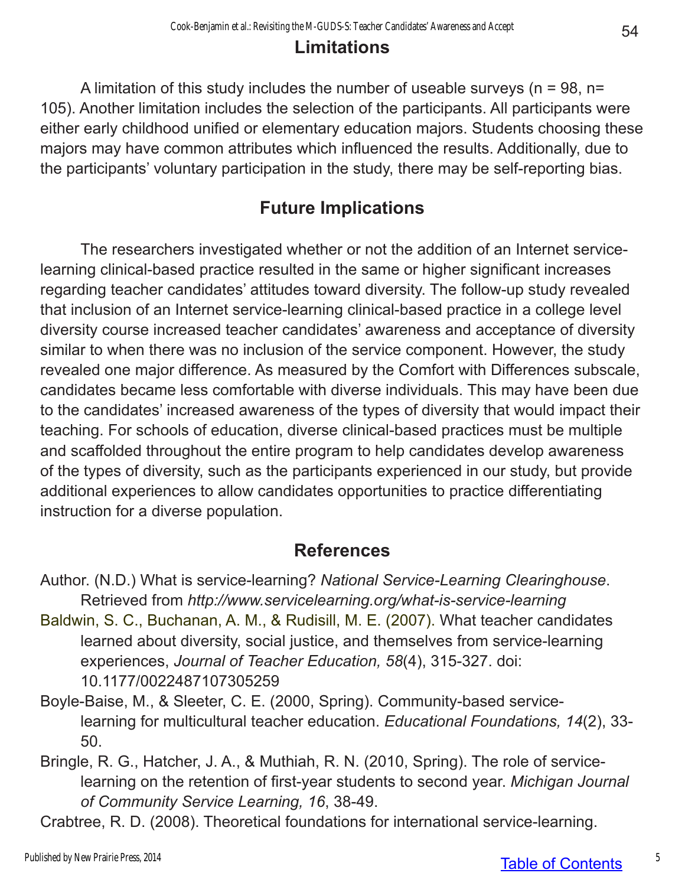### **Limitations**

A limitation of this study includes the number of useable surveys ( $n = 98$ ,  $n =$ 105). Another limitation includes the selection of the participants. All participants were either early childhood unified or elementary education majors. Students choosing these majors may have common attributes which influenced the results. Additionally, due to the participants' voluntary participation in the study, there may be self-reporting bias.

## **Future Implications**

The researchers investigated whether or not the addition of an Internet servicelearning clinical-based practice resulted in the same or higher significant increases regarding teacher candidates' attitudes toward diversity. The follow-up study revealed that inclusion of an Internet service-learning clinical-based practice in a college level diversity course increased teacher candidates' awareness and acceptance of diversity similar to when there was no inclusion of the service component. However, the study revealed one major difference. As measured by the Comfort with Differences subscale, candidates became less comfortable with diverse individuals. This may have been due to the candidates' increased awareness of the types of diversity that would impact their teaching. For schools of education, diverse clinical-based practices must be multiple and scaffolded throughout the entire program to help candidates develop awareness of the types of diversity, such as the participants experienced in our study, but provide additional experiences to allow candidates opportunities to practice differentiating instruction for a diverse population.

## **References**

- Author. (N.D.) What is service-learning? *National Service-Learning Clearinghouse*. Retrieved from *http://www.servicelearning.org/what-is-service-learning*
- Baldwin, S. C., Buchanan, A. M., & Rudisill, M. E. (2007). What teacher candidates learned about diversity, social justice, and themselves from service-learning experiences, *Journal of Teacher Education, 58*(4), 315-327. doi: 10.1177/0022487107305259
- Boyle-Baise, M., & Sleeter, C. E. (2000, Spring). Community-based servicelearning for multicultural teacher education. *Educational Foundations, 14*(2), 33- 50.
- Bringle, R. G., Hatcher, J. A., & Muthiah, R. N. (2010, Spring). The role of servicelearning on the retention of first-year students to second year. *Michigan Journal of Community Service Learning, 16*, 38-49.
- Crabtree, R. D. (2008). Theoretical foundations for international service-learning.